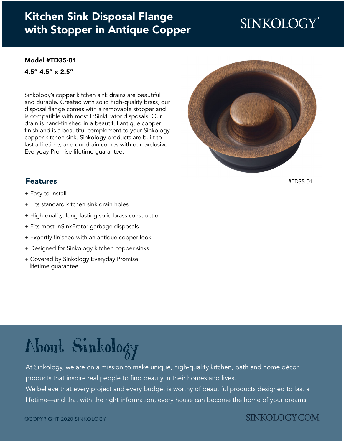### Kitchen Sink Disposal Flange [with Stopper in Antique Copper](https://www.sinkology.com/kitchen-accessory/kitchen-ise-disposal-flange-drain/)

## **SINKOLOGY**

#### [Model #TD35-01](https://www.sinkology.com/kitchen-accessory/kitchen-ise-disposal-flange-drain/)

4.5" 4.5" x 2.5"

Sinkology's copper kitchen sink drains are beautiful and durable. Created with solid high-quality brass, our disposal flange comes with a removable stopper and is compatible with most InSinkErator disposals. Our drain is hand-finished in a beautiful antique copper finish and is a beautiful complement to your Sinkology copper kitchen sink. Sinkology products are built to last a lifetime, and our drain comes with our exclusive Everyday Promise lifetime guarantee.



Features

- + Easy to install
- + Fits standard kitchen sink drain holes
- + High-quality, long-lasting solid brass construction
- + Fits most InSinkErator garbage disposals
- + Expertly finished with an antique copper look
- + Designed for Sinkology kitchen copper sinks
- + Covered by Sinkology Everyday Promise lifetime guarantee

[#TD35-01](https://www.sinkology.com/kitchen-accessory/kitchen-ise-disposal-flange-drain/)

# [About Sinkology](https://www.sinkology.com/about-sinkology/)

At Sinkology, we are on a mission to make unique, high-quality kitchen, bath and home décor products that inspire real people to find beauty in their homes and lives.

We believe that every project and every budget is worthy of beautiful products designed to last a lifetime—and that with the right information, every house can become the home of your dreams.

#### **SINKOLOGY.COM**